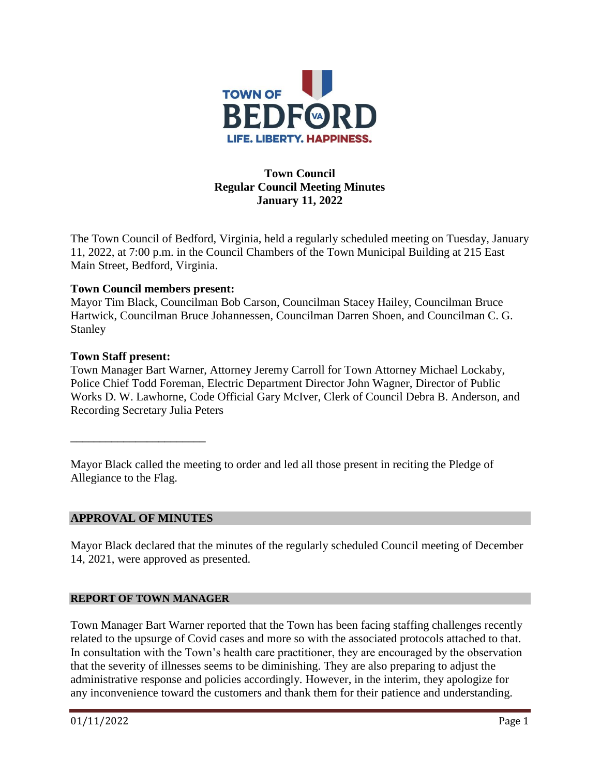

# **Town Council Regular Council Meeting Minutes January 11, 2022**

The Town Council of Bedford, Virginia, held a regularly scheduled meeting on Tuesday, January 11, 2022, at 7:00 p.m. in the Council Chambers of the Town Municipal Building at 215 East Main Street, Bedford, Virginia.

# **Town Council members present:**

Mayor Tim Black, Councilman Bob Carson, Councilman Stacey Hailey, Councilman Bruce Hartwick, Councilman Bruce Johannessen, Councilman Darren Shoen, and Councilman C. G. Stanley

## **Town Staff present:**

Town Manager Bart Warner, Attorney Jeremy Carroll for Town Attorney Michael Lockaby, Police Chief Todd Foreman, Electric Department Director John Wagner, Director of Public Works D. W. Lawhorne, Code Official Gary McIver, Clerk of Council Debra B. Anderson, and Recording Secretary Julia Peters

Mayor Black called the meeting to order and led all those present in reciting the Pledge of Allegiance to the Flag.

# **APPROVAL OF MINUTES**

**\_\_\_\_\_\_\_\_\_\_\_\_\_\_\_\_\_\_\_\_\_\_\_**

Mayor Black declared that the minutes of the regularly scheduled Council meeting of December 14, 2021, were approved as presented.

## **REPORT OF TOWN MANAGER**

Town Manager Bart Warner reported that the Town has been facing staffing challenges recently related to the upsurge of Covid cases and more so with the associated protocols attached to that. In consultation with the Town's health care practitioner, they are encouraged by the observation that the severity of illnesses seems to be diminishing. They are also preparing to adjust the administrative response and policies accordingly. However, in the interim, they apologize for any inconvenience toward the customers and thank them for their patience and understanding.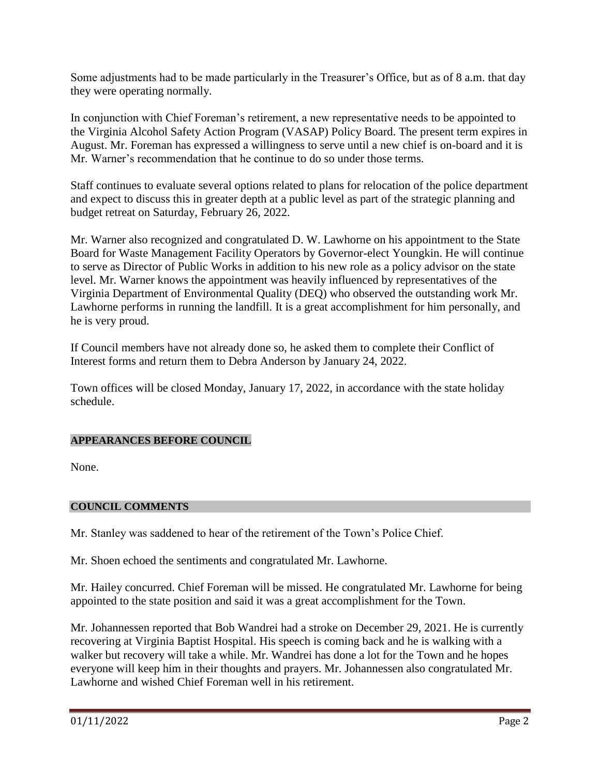Some adjustments had to be made particularly in the Treasurer's Office, but as of 8 a.m. that day they were operating normally.

In conjunction with Chief Foreman's retirement, a new representative needs to be appointed to the Virginia Alcohol Safety Action Program (VASAP) Policy Board. The present term expires in August. Mr. Foreman has expressed a willingness to serve until a new chief is on-board and it is Mr. Warner's recommendation that he continue to do so under those terms.

Staff continues to evaluate several options related to plans for relocation of the police department and expect to discuss this in greater depth at a public level as part of the strategic planning and budget retreat on Saturday, February 26, 2022.

Mr. Warner also recognized and congratulated D. W. Lawhorne on his appointment to the State Board for Waste Management Facility Operators by Governor-elect Youngkin. He will continue to serve as Director of Public Works in addition to his new role as a policy advisor on the state level. Mr. Warner knows the appointment was heavily influenced by representatives of the Virginia Department of Environmental Quality (DEQ) who observed the outstanding work Mr. Lawhorne performs in running the landfill. It is a great accomplishment for him personally, and he is very proud.

If Council members have not already done so, he asked them to complete their Conflict of Interest forms and return them to Debra Anderson by January 24, 2022.

Town offices will be closed Monday, January 17, 2022, in accordance with the state holiday schedule.

# **APPEARANCES BEFORE COUNCIL**

None.

# **COUNCIL COMMENTS**

Mr. Stanley was saddened to hear of the retirement of the Town's Police Chief.

Mr. Shoen echoed the sentiments and congratulated Mr. Lawhorne.

Mr. Hailey concurred. Chief Foreman will be missed. He congratulated Mr. Lawhorne for being appointed to the state position and said it was a great accomplishment for the Town.

Mr. Johannessen reported that Bob Wandrei had a stroke on December 29, 2021. He is currently recovering at Virginia Baptist Hospital. His speech is coming back and he is walking with a walker but recovery will take a while. Mr. Wandrei has done a lot for the Town and he hopes everyone will keep him in their thoughts and prayers. Mr. Johannessen also congratulated Mr. Lawhorne and wished Chief Foreman well in his retirement.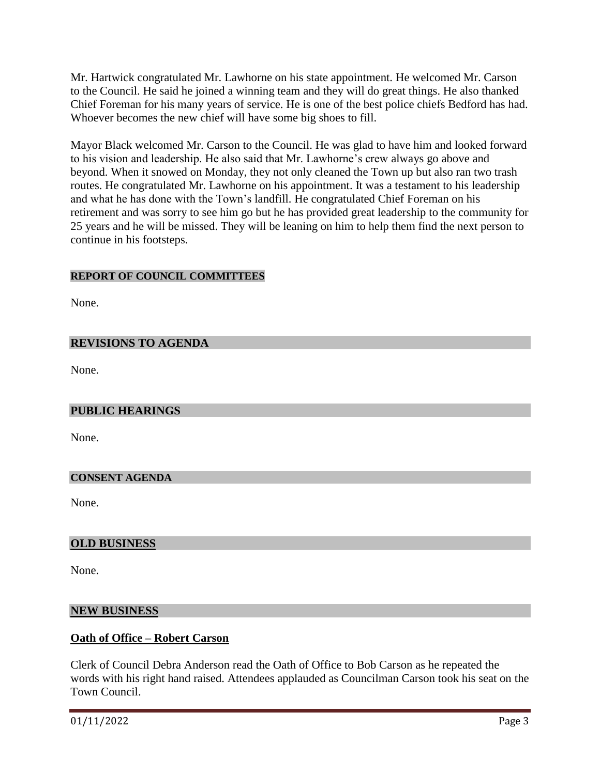Mr. Hartwick congratulated Mr. Lawhorne on his state appointment. He welcomed Mr. Carson to the Council. He said he joined a winning team and they will do great things. He also thanked Chief Foreman for his many years of service. He is one of the best police chiefs Bedford has had. Whoever becomes the new chief will have some big shoes to fill.

Mayor Black welcomed Mr. Carson to the Council. He was glad to have him and looked forward to his vision and leadership. He also said that Mr. Lawhorne's crew always go above and beyond. When it snowed on Monday, they not only cleaned the Town up but also ran two trash routes. He congratulated Mr. Lawhorne on his appointment. It was a testament to his leadership and what he has done with the Town's landfill. He congratulated Chief Foreman on his retirement and was sorry to see him go but he has provided great leadership to the community for 25 years and he will be missed. They will be leaning on him to help them find the next person to continue in his footsteps.

# **REPORT OF COUNCIL COMMITTEES**

None.

# **REVISIONS TO AGENDA**

None.

## **PUBLIC HEARINGS**

None.

#### **CONSENT AGENDA**

None.

## **OLD BUSINESS**

None.

#### **NEW BUSINESS**

## **Oath of Office – Robert Carson**

Clerk of Council Debra Anderson read the Oath of Office to Bob Carson as he repeated the words with his right hand raised. Attendees applauded as Councilman Carson took his seat on the Town Council.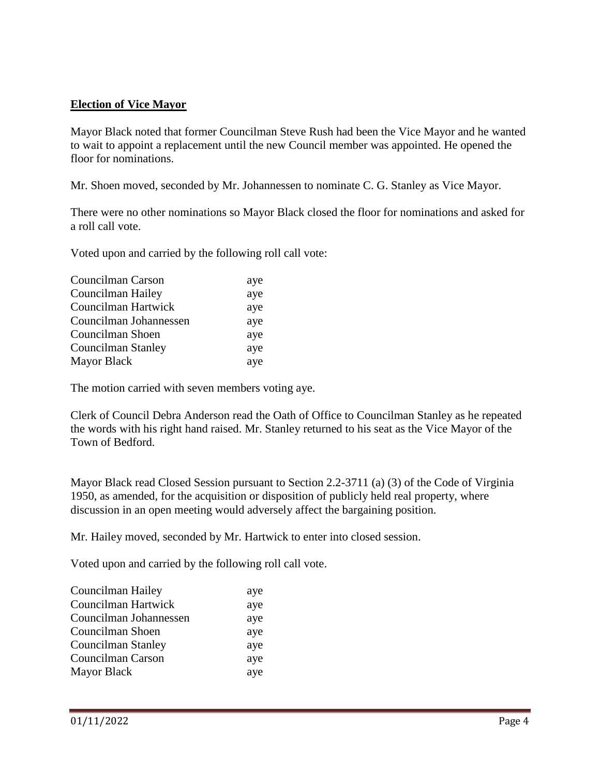# **Election of Vice Mayor**

Mayor Black noted that former Councilman Steve Rush had been the Vice Mayor and he wanted to wait to appoint a replacement until the new Council member was appointed. He opened the floor for nominations.

Mr. Shoen moved, seconded by Mr. Johannessen to nominate C. G. Stanley as Vice Mayor.

There were no other nominations so Mayor Black closed the floor for nominations and asked for a roll call vote.

Voted upon and carried by the following roll call vote:

| Councilman Carson      | aye |
|------------------------|-----|
| Councilman Hailey      | aye |
| Councilman Hartwick    | aye |
| Councilman Johannessen | aye |
| Councilman Shoen       | aye |
| Councilman Stanley     | aye |
| <b>Mayor Black</b>     | aye |

The motion carried with seven members voting aye.

Clerk of Council Debra Anderson read the Oath of Office to Councilman Stanley as he repeated the words with his right hand raised. Mr. Stanley returned to his seat as the Vice Mayor of the Town of Bedford.

Mayor Black read Closed Session pursuant to Section 2.2-3711 (a) (3) of the Code of Virginia 1950, as amended, for the acquisition or disposition of publicly held real property, where discussion in an open meeting would adversely affect the bargaining position.

Mr. Hailey moved, seconded by Mr. Hartwick to enter into closed session.

Voted upon and carried by the following roll call vote.

| Councilman Hailey      | aye |
|------------------------|-----|
| Councilman Hartwick    | aye |
| Councilman Johannessen | aye |
| Councilman Shoen       | aye |
| Councilman Stanley     | aye |
| Councilman Carson      | aye |
| <b>Mayor Black</b>     | aye |
|                        |     |